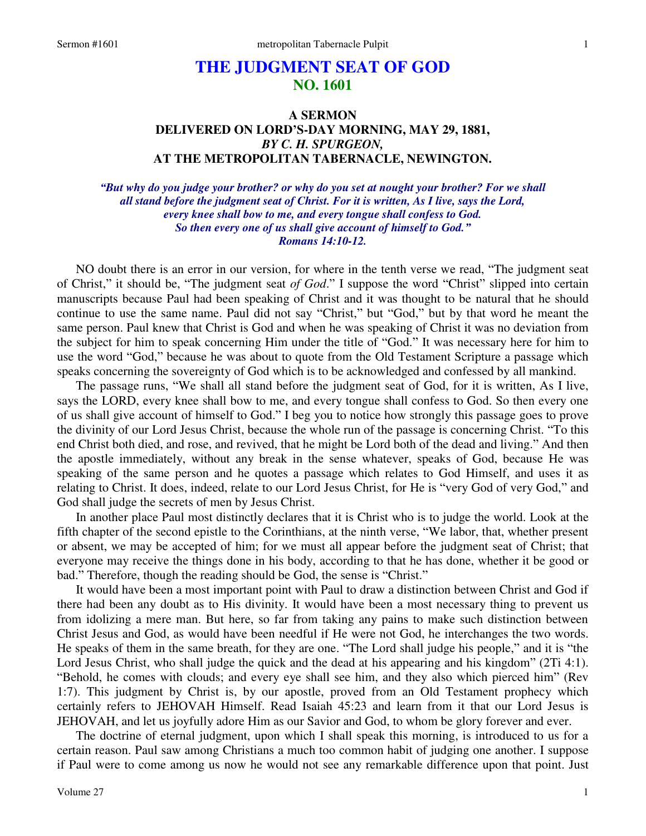# **THE JUDGMENT SEAT OF GOD NO. 1601**

# **A SERMON DELIVERED ON LORD'S-DAY MORNING, MAY 29, 1881,**  *BY C. H. SPURGEON,*  **AT THE METROPOLITAN TABERNACLE, NEWINGTON.**

*"But why do you judge your brother? or why do you set at nought your brother? For we shall all stand before the judgment seat of Christ. For it is written, As I live, says the Lord, every knee shall bow to me, and every tongue shall confess to God. So then every one of us shall give account of himself to God." Romans 14:10-12.* 

NO doubt there is an error in our version, for where in the tenth verse we read, "The judgment seat of Christ," it should be, "The judgment seat *of God*." I suppose the word "Christ" slipped into certain manuscripts because Paul had been speaking of Christ and it was thought to be natural that he should continue to use the same name. Paul did not say "Christ," but "God," but by that word he meant the same person. Paul knew that Christ is God and when he was speaking of Christ it was no deviation from the subject for him to speak concerning Him under the title of "God." It was necessary here for him to use the word "God," because he was about to quote from the Old Testament Scripture a passage which speaks concerning the sovereignty of God which is to be acknowledged and confessed by all mankind.

 The passage runs, "We shall all stand before the judgment seat of God, for it is written, As I live, says the LORD, every knee shall bow to me, and every tongue shall confess to God. So then every one of us shall give account of himself to God." I beg you to notice how strongly this passage goes to prove the divinity of our Lord Jesus Christ, because the whole run of the passage is concerning Christ. "To this end Christ both died, and rose, and revived, that he might be Lord both of the dead and living." And then the apostle immediately, without any break in the sense whatever, speaks of God, because He was speaking of the same person and he quotes a passage which relates to God Himself, and uses it as relating to Christ. It does, indeed, relate to our Lord Jesus Christ, for He is "very God of very God," and God shall judge the secrets of men by Jesus Christ.

 In another place Paul most distinctly declares that it is Christ who is to judge the world. Look at the fifth chapter of the second epistle to the Corinthians, at the ninth verse, "We labor, that, whether present or absent, we may be accepted of him; for we must all appear before the judgment seat of Christ; that everyone may receive the things done in his body, according to that he has done, whether it be good or bad." Therefore, though the reading should be God, the sense is "Christ."

 It would have been a most important point with Paul to draw a distinction between Christ and God if there had been any doubt as to His divinity. It would have been a most necessary thing to prevent us from idolizing a mere man. But here, so far from taking any pains to make such distinction between Christ Jesus and God, as would have been needful if He were not God, he interchanges the two words. He speaks of them in the same breath, for they are one. "The Lord shall judge his people," and it is "the Lord Jesus Christ, who shall judge the quick and the dead at his appearing and his kingdom" (2Ti 4:1). "Behold, he comes with clouds; and every eye shall see him, and they also which pierced him" (Rev 1:7). This judgment by Christ is, by our apostle, proved from an Old Testament prophecy which certainly refers to JEHOVAH Himself. Read Isaiah 45:23 and learn from it that our Lord Jesus is JEHOVAH, and let us joyfully adore Him as our Savior and God, to whom be glory forever and ever.

 The doctrine of eternal judgment, upon which I shall speak this morning, is introduced to us for a certain reason. Paul saw among Christians a much too common habit of judging one another. I suppose if Paul were to come among us now he would not see any remarkable difference upon that point. Just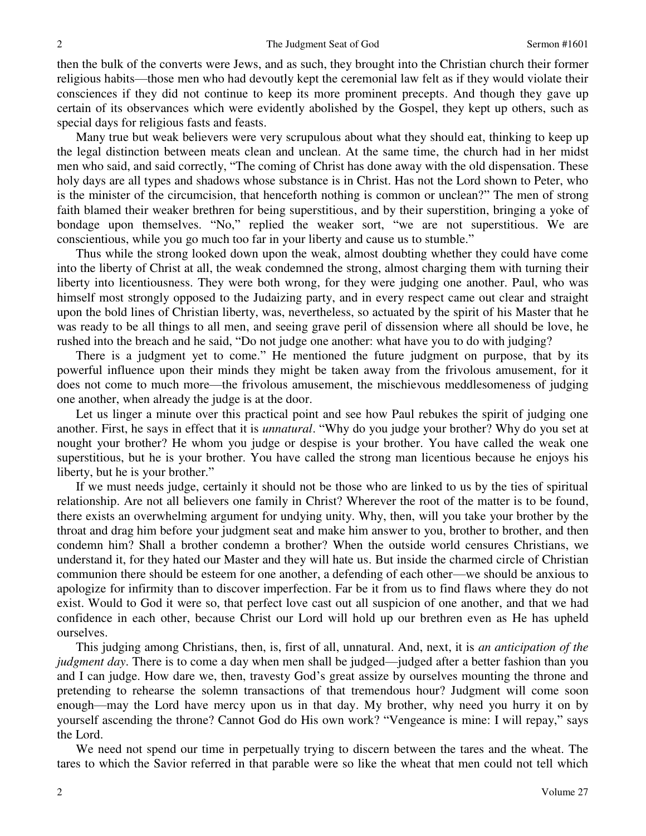then the bulk of the converts were Jews, and as such, they brought into the Christian church their former religious habits—those men who had devoutly kept the ceremonial law felt as if they would violate their consciences if they did not continue to keep its more prominent precepts. And though they gave up certain of its observances which were evidently abolished by the Gospel, they kept up others, such as special days for religious fasts and feasts.

 Many true but weak believers were very scrupulous about what they should eat, thinking to keep up the legal distinction between meats clean and unclean. At the same time, the church had in her midst men who said, and said correctly, "The coming of Christ has done away with the old dispensation. These holy days are all types and shadows whose substance is in Christ. Has not the Lord shown to Peter, who is the minister of the circumcision, that henceforth nothing is common or unclean?" The men of strong faith blamed their weaker brethren for being superstitious, and by their superstition, bringing a yoke of bondage upon themselves. "No," replied the weaker sort, "we are not superstitious. We are conscientious, while you go much too far in your liberty and cause us to stumble."

 Thus while the strong looked down upon the weak, almost doubting whether they could have come into the liberty of Christ at all, the weak condemned the strong, almost charging them with turning their liberty into licentiousness. They were both wrong, for they were judging one another. Paul, who was himself most strongly opposed to the Judaizing party, and in every respect came out clear and straight upon the bold lines of Christian liberty, was, nevertheless, so actuated by the spirit of his Master that he was ready to be all things to all men, and seeing grave peril of dissension where all should be love, he rushed into the breach and he said, "Do not judge one another: what have you to do with judging?

 There is a judgment yet to come." He mentioned the future judgment on purpose, that by its powerful influence upon their minds they might be taken away from the frivolous amusement, for it does not come to much more—the frivolous amusement, the mischievous meddlesomeness of judging one another, when already the judge is at the door.

Let us linger a minute over this practical point and see how Paul rebukes the spirit of judging one another. First, he says in effect that it is *unnatural*. "Why do you judge your brother? Why do you set at nought your brother? He whom you judge or despise is your brother. You have called the weak one superstitious, but he is your brother. You have called the strong man licentious because he enjoys his liberty, but he is your brother."

 If we must needs judge, certainly it should not be those who are linked to us by the ties of spiritual relationship. Are not all believers one family in Christ? Wherever the root of the matter is to be found, there exists an overwhelming argument for undying unity. Why, then, will you take your brother by the throat and drag him before your judgment seat and make him answer to you, brother to brother, and then condemn him? Shall a brother condemn a brother? When the outside world censures Christians, we understand it, for they hated our Master and they will hate us. But inside the charmed circle of Christian communion there should be esteem for one another, a defending of each other—we should be anxious to apologize for infirmity than to discover imperfection. Far be it from us to find flaws where they do not exist. Would to God it were so, that perfect love cast out all suspicion of one another, and that we had confidence in each other, because Christ our Lord will hold up our brethren even as He has upheld ourselves.

 This judging among Christians, then, is, first of all, unnatural. And, next, it is *an anticipation of the judgment day*. There is to come a day when men shall be judged—judged after a better fashion than you and I can judge. How dare we, then, travesty God's great assize by ourselves mounting the throne and pretending to rehearse the solemn transactions of that tremendous hour? Judgment will come soon enough—may the Lord have mercy upon us in that day. My brother, why need you hurry it on by yourself ascending the throne? Cannot God do His own work? "Vengeance is mine: I will repay," says the Lord.

 We need not spend our time in perpetually trying to discern between the tares and the wheat. The tares to which the Savior referred in that parable were so like the wheat that men could not tell which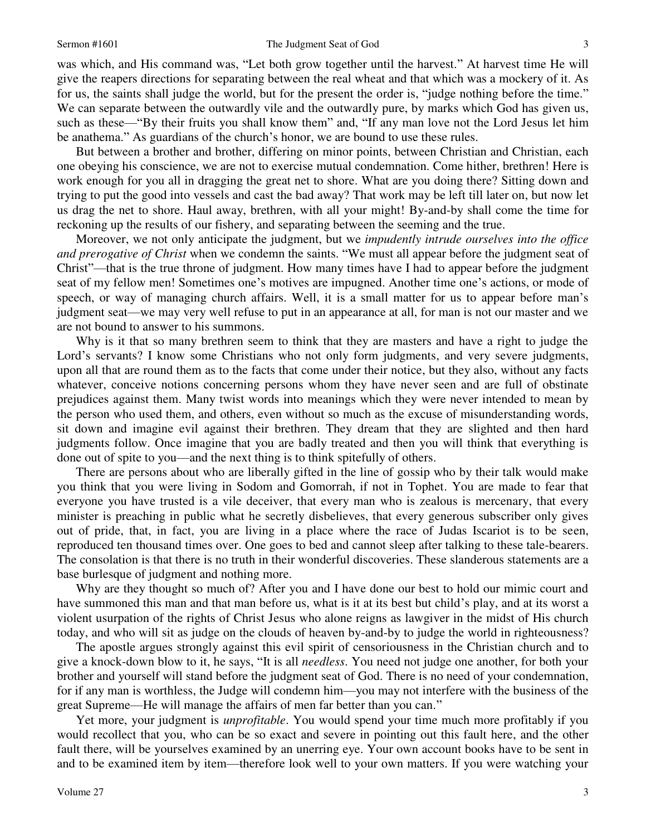#### Sermon #1601 **Sermon #1601** The Judgment Seat of God 3

was which, and His command was, "Let both grow together until the harvest." At harvest time He will give the reapers directions for separating between the real wheat and that which was a mockery of it. As for us, the saints shall judge the world, but for the present the order is, "judge nothing before the time." We can separate between the outwardly vile and the outwardly pure, by marks which God has given us, such as these—"By their fruits you shall know them" and, "If any man love not the Lord Jesus let him be anathema." As guardians of the church's honor, we are bound to use these rules.

 But between a brother and brother, differing on minor points, between Christian and Christian, each one obeying his conscience, we are not to exercise mutual condemnation. Come hither, brethren! Here is work enough for you all in dragging the great net to shore. What are you doing there? Sitting down and trying to put the good into vessels and cast the bad away? That work may be left till later on, but now let us drag the net to shore. Haul away, brethren, with all your might! By-and-by shall come the time for reckoning up the results of our fishery, and separating between the seeming and the true.

 Moreover, we not only anticipate the judgment, but we *impudently intrude ourselves into the office and prerogative of Christ* when we condemn the saints. "We must all appear before the judgment seat of Christ"—that is the true throne of judgment. How many times have I had to appear before the judgment seat of my fellow men! Sometimes one's motives are impugned. Another time one's actions, or mode of speech, or way of managing church affairs. Well, it is a small matter for us to appear before man's judgment seat—we may very well refuse to put in an appearance at all, for man is not our master and we are not bound to answer to his summons.

 Why is it that so many brethren seem to think that they are masters and have a right to judge the Lord's servants? I know some Christians who not only form judgments, and very severe judgments, upon all that are round them as to the facts that come under their notice, but they also, without any facts whatever, conceive notions concerning persons whom they have never seen and are full of obstinate prejudices against them. Many twist words into meanings which they were never intended to mean by the person who used them, and others, even without so much as the excuse of misunderstanding words, sit down and imagine evil against their brethren. They dream that they are slighted and then hard judgments follow. Once imagine that you are badly treated and then you will think that everything is done out of spite to you—and the next thing is to think spitefully of others.

 There are persons about who are liberally gifted in the line of gossip who by their talk would make you think that you were living in Sodom and Gomorrah, if not in Tophet. You are made to fear that everyone you have trusted is a vile deceiver, that every man who is zealous is mercenary, that every minister is preaching in public what he secretly disbelieves, that every generous subscriber only gives out of pride, that, in fact, you are living in a place where the race of Judas Iscariot is to be seen, reproduced ten thousand times over. One goes to bed and cannot sleep after talking to these tale-bearers. The consolation is that there is no truth in their wonderful discoveries. These slanderous statements are a base burlesque of judgment and nothing more.

 Why are they thought so much of? After you and I have done our best to hold our mimic court and have summoned this man and that man before us, what is it at its best but child's play, and at its worst a violent usurpation of the rights of Christ Jesus who alone reigns as lawgiver in the midst of His church today, and who will sit as judge on the clouds of heaven by-and-by to judge the world in righteousness?

 The apostle argues strongly against this evil spirit of censoriousness in the Christian church and to give a knock-down blow to it, he says, "It is all *needless*. You need not judge one another, for both your brother and yourself will stand before the judgment seat of God. There is no need of your condemnation, for if any man is worthless, the Judge will condemn him—you may not interfere with the business of the great Supreme—He will manage the affairs of men far better than you can."

 Yet more, your judgment is *unprofitable*. You would spend your time much more profitably if you would recollect that you, who can be so exact and severe in pointing out this fault here, and the other fault there, will be yourselves examined by an unerring eye. Your own account books have to be sent in and to be examined item by item—therefore look well to your own matters. If you were watching your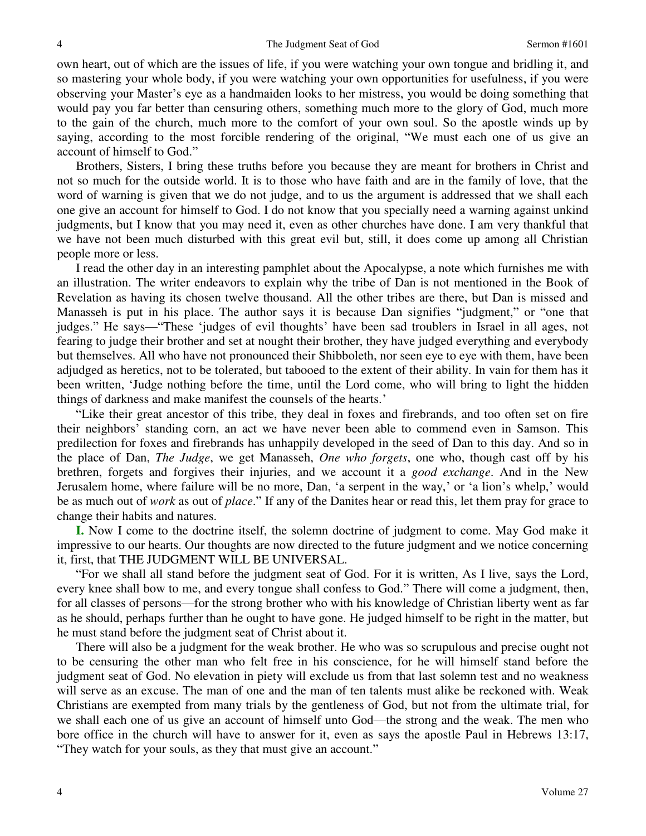own heart, out of which are the issues of life, if you were watching your own tongue and bridling it, and so mastering your whole body, if you were watching your own opportunities for usefulness, if you were observing your Master's eye as a handmaiden looks to her mistress, you would be doing something that would pay you far better than censuring others, something much more to the glory of God, much more to the gain of the church, much more to the comfort of your own soul. So the apostle winds up by saying, according to the most forcible rendering of the original, "We must each one of us give an account of himself to God."

 Brothers, Sisters, I bring these truths before you because they are meant for brothers in Christ and not so much for the outside world. It is to those who have faith and are in the family of love, that the word of warning is given that we do not judge, and to us the argument is addressed that we shall each one give an account for himself to God. I do not know that you specially need a warning against unkind judgments, but I know that you may need it, even as other churches have done. I am very thankful that we have not been much disturbed with this great evil but, still, it does come up among all Christian people more or less.

 I read the other day in an interesting pamphlet about the Apocalypse, a note which furnishes me with an illustration. The writer endeavors to explain why the tribe of Dan is not mentioned in the Book of Revelation as having its chosen twelve thousand. All the other tribes are there, but Dan is missed and Manasseh is put in his place. The author says it is because Dan signifies "judgment," or "one that judges." He says—"These 'judges of evil thoughts' have been sad troublers in Israel in all ages, not fearing to judge their brother and set at nought their brother, they have judged everything and everybody but themselves. All who have not pronounced their Shibboleth, nor seen eye to eye with them, have been adjudged as heretics, not to be tolerated, but tabooed to the extent of their ability. In vain for them has it been written, 'Judge nothing before the time, until the Lord come, who will bring to light the hidden things of darkness and make manifest the counsels of the hearts.'

"Like their great ancestor of this tribe, they deal in foxes and firebrands, and too often set on fire their neighbors' standing corn, an act we have never been able to commend even in Samson. This predilection for foxes and firebrands has unhappily developed in the seed of Dan to this day. And so in the place of Dan, *The Judge*, we get Manasseh, *One who forgets*, one who, though cast off by his brethren, forgets and forgives their injuries, and we account it a *good exchange*. And in the New Jerusalem home, where failure will be no more, Dan, 'a serpent in the way,' or 'a lion's whelp,' would be as much out of *work* as out of *place*." If any of the Danites hear or read this, let them pray for grace to change their habits and natures.

**I.** Now I come to the doctrine itself, the solemn doctrine of judgment to come. May God make it impressive to our hearts. Our thoughts are now directed to the future judgment and we notice concerning it, first, that THE JUDGMENT WILL BE UNIVERSAL.

"For we shall all stand before the judgment seat of God. For it is written, As I live, says the Lord, every knee shall bow to me, and every tongue shall confess to God." There will come a judgment, then, for all classes of persons—for the strong brother who with his knowledge of Christian liberty went as far as he should, perhaps further than he ought to have gone. He judged himself to be right in the matter, but he must stand before the judgment seat of Christ about it.

 There will also be a judgment for the weak brother. He who was so scrupulous and precise ought not to be censuring the other man who felt free in his conscience, for he will himself stand before the judgment seat of God. No elevation in piety will exclude us from that last solemn test and no weakness will serve as an excuse. The man of one and the man of ten talents must alike be reckoned with. Weak Christians are exempted from many trials by the gentleness of God, but not from the ultimate trial, for we shall each one of us give an account of himself unto God—the strong and the weak. The men who bore office in the church will have to answer for it, even as says the apostle Paul in Hebrews 13:17, "They watch for your souls, as they that must give an account."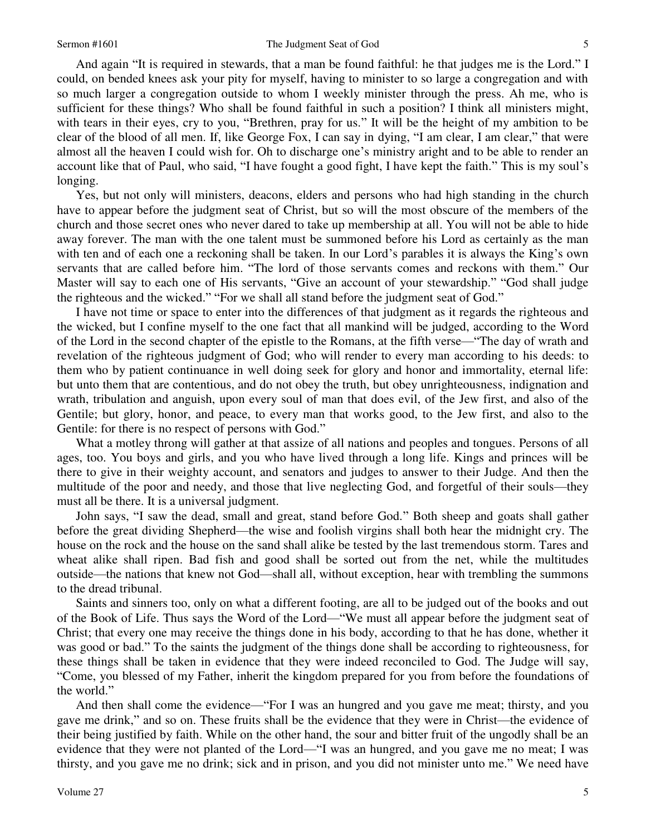And again "It is required in stewards, that a man be found faithful: he that judges me is the Lord." I could, on bended knees ask your pity for myself, having to minister to so large a congregation and with so much larger a congregation outside to whom I weekly minister through the press. Ah me, who is sufficient for these things? Who shall be found faithful in such a position? I think all ministers might, with tears in their eyes, cry to you, "Brethren, pray for us." It will be the height of my ambition to be clear of the blood of all men. If, like George Fox, I can say in dying, "I am clear, I am clear," that were almost all the heaven I could wish for. Oh to discharge one's ministry aright and to be able to render an account like that of Paul, who said, "I have fought a good fight, I have kept the faith." This is my soul's longing.

 Yes, but not only will ministers, deacons, elders and persons who had high standing in the church have to appear before the judgment seat of Christ, but so will the most obscure of the members of the church and those secret ones who never dared to take up membership at all. You will not be able to hide away forever. The man with the one talent must be summoned before his Lord as certainly as the man with ten and of each one a reckoning shall be taken. In our Lord's parables it is always the King's own servants that are called before him. "The lord of those servants comes and reckons with them." Our Master will say to each one of His servants, "Give an account of your stewardship." "God shall judge the righteous and the wicked." "For we shall all stand before the judgment seat of God."

 I have not time or space to enter into the differences of that judgment as it regards the righteous and the wicked, but I confine myself to the one fact that all mankind will be judged, according to the Word of the Lord in the second chapter of the epistle to the Romans, at the fifth verse—"The day of wrath and revelation of the righteous judgment of God; who will render to every man according to his deeds: to them who by patient continuance in well doing seek for glory and honor and immortality, eternal life: but unto them that are contentious, and do not obey the truth, but obey unrighteousness, indignation and wrath, tribulation and anguish, upon every soul of man that does evil, of the Jew first, and also of the Gentile; but glory, honor, and peace, to every man that works good, to the Jew first, and also to the Gentile: for there is no respect of persons with God."

 What a motley throng will gather at that assize of all nations and peoples and tongues. Persons of all ages, too. You boys and girls, and you who have lived through a long life. Kings and princes will be there to give in their weighty account, and senators and judges to answer to their Judge. And then the multitude of the poor and needy, and those that live neglecting God, and forgetful of their souls—they must all be there. It is a universal judgment.

 John says, "I saw the dead, small and great, stand before God." Both sheep and goats shall gather before the great dividing Shepherd—the wise and foolish virgins shall both hear the midnight cry. The house on the rock and the house on the sand shall alike be tested by the last tremendous storm. Tares and wheat alike shall ripen. Bad fish and good shall be sorted out from the net, while the multitudes outside—the nations that knew not God—shall all, without exception, hear with trembling the summons to the dread tribunal.

 Saints and sinners too, only on what a different footing, are all to be judged out of the books and out of the Book of Life. Thus says the Word of the Lord—"We must all appear before the judgment seat of Christ; that every one may receive the things done in his body, according to that he has done, whether it was good or bad." To the saints the judgment of the things done shall be according to righteousness, for these things shall be taken in evidence that they were indeed reconciled to God. The Judge will say, "Come, you blessed of my Father, inherit the kingdom prepared for you from before the foundations of the world."

 And then shall come the evidence—"For I was an hungred and you gave me meat; thirsty, and you gave me drink," and so on. These fruits shall be the evidence that they were in Christ—the evidence of their being justified by faith. While on the other hand, the sour and bitter fruit of the ungodly shall be an evidence that they were not planted of the Lord—"I was an hungred, and you gave me no meat; I was thirsty, and you gave me no drink; sick and in prison, and you did not minister unto me." We need have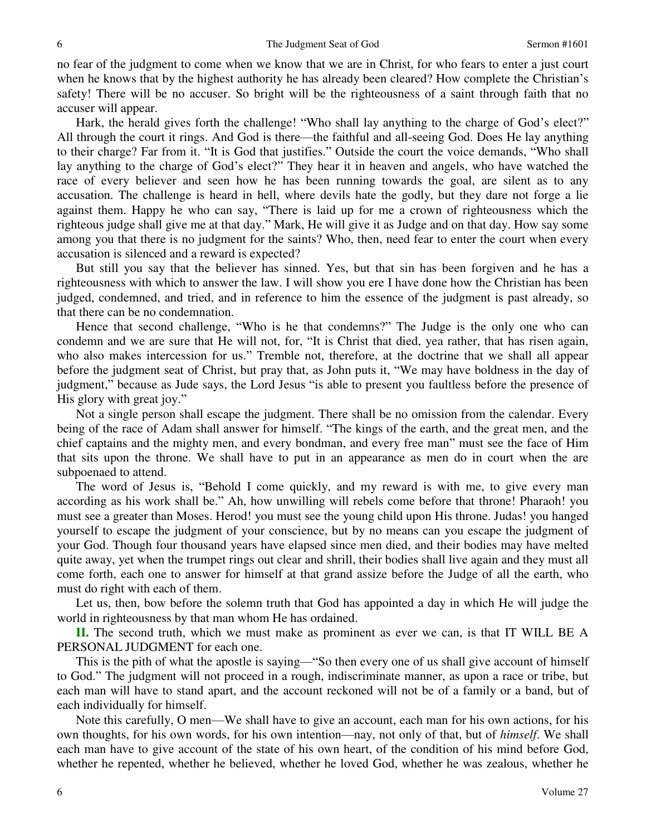no fear of the judgment to come when we know that we are in Christ, for who fears to enter a just court when he knows that by the highest authority he has already been cleared? How complete the Christian's safety! There will be no accuser. So bright will be the righteousness of a saint through faith that no accuser will appear.

 Hark, the herald gives forth the challenge! "Who shall lay anything to the charge of God's elect?" All through the court it rings. And God is there—the faithful and all-seeing God. Does He lay anything to their charge? Far from it. "It is God that justifies." Outside the court the voice demands, "Who shall lay anything to the charge of God's elect?" They hear it in heaven and angels, who have watched the race of every believer and seen how he has been running towards the goal, are silent as to any accusation. The challenge is heard in hell, where devils hate the godly, but they dare not forge a lie against them. Happy he who can say, "There is laid up for me a crown of righteousness which the righteous judge shall give me at that day." Mark, He will give it as Judge and on that day. How say some among you that there is no judgment for the saints? Who, then, need fear to enter the court when every accusation is silenced and a reward is expected?

 But still you say that the believer has sinned. Yes, but that sin has been forgiven and he has a righteousness with which to answer the law. I will show you ere I have done how the Christian has been judged, condemned, and tried, and in reference to him the essence of the judgment is past already, so that there can be no condemnation.

 Hence that second challenge, "Who is he that condemns?" The Judge is the only one who can condemn and we are sure that He will not, for, "It is Christ that died, yea rather, that has risen again, who also makes intercession for us." Tremble not, therefore, at the doctrine that we shall all appear before the judgment seat of Christ, but pray that, as John puts it, "We may have boldness in the day of judgment," because as Jude says, the Lord Jesus "is able to present you faultless before the presence of His glory with great joy."

 Not a single person shall escape the judgment. There shall be no omission from the calendar. Every being of the race of Adam shall answer for himself. "The kings of the earth, and the great men, and the chief captains and the mighty men, and every bondman, and every free man" must see the face of Him that sits upon the throne. We shall have to put in an appearance as men do in court when the are subpoenaed to attend.

 The word of Jesus is, "Behold I come quickly, and my reward is with me, to give every man according as his work shall be." Ah, how unwilling will rebels come before that throne! Pharaoh! you must see a greater than Moses. Herod! you must see the young child upon His throne. Judas! you hanged yourself to escape the judgment of your conscience, but by no means can you escape the judgment of your God. Though four thousand years have elapsed since men died, and their bodies may have melted quite away, yet when the trumpet rings out clear and shrill, their bodies shall live again and they must all come forth, each one to answer for himself at that grand assize before the Judge of all the earth, who must do right with each of them.

 Let us, then, bow before the solemn truth that God has appointed a day in which He will judge the world in righteousness by that man whom He has ordained.

**II.** The second truth, which we must make as prominent as ever we can, is that IT WILL BE A PERSONAL JUDGMENT for each one.

 This is the pith of what the apostle is saying—"So then every one of us shall give account of himself to God." The judgment will not proceed in a rough, indiscriminate manner, as upon a race or tribe, but each man will have to stand apart, and the account reckoned will not be of a family or a band, but of each individually for himself.

 Note this carefully, O men—We shall have to give an account, each man for his own actions, for his own thoughts, for his own words, for his own intention—nay, not only of that, but of *himself*. We shall each man have to give account of the state of his own heart, of the condition of his mind before God, whether he repented, whether he believed, whether he loved God, whether he was zealous, whether he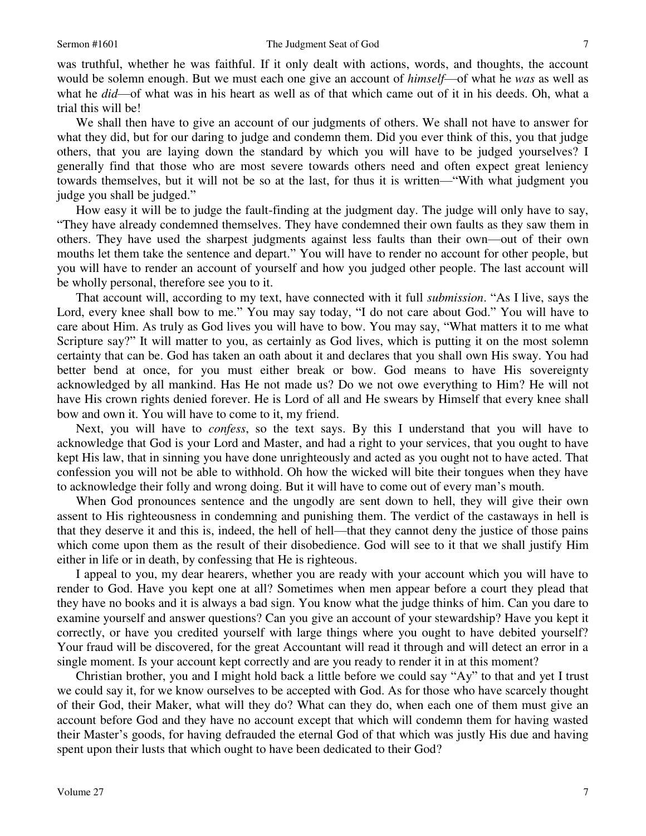was truthful, whether he was faithful. If it only dealt with actions, words, and thoughts, the account would be solemn enough. But we must each one give an account of *himself*—of what he *was* as well as what he *did*—of what was in his heart as well as of that which came out of it in his deeds. Oh, what a trial this will be!

 We shall then have to give an account of our judgments of others. We shall not have to answer for what they did, but for our daring to judge and condemn them. Did you ever think of this, you that judge others, that you are laying down the standard by which you will have to be judged yourselves? I generally find that those who are most severe towards others need and often expect great leniency towards themselves, but it will not be so at the last, for thus it is written—"With what judgment you judge you shall be judged."

 How easy it will be to judge the fault-finding at the judgment day. The judge will only have to say, "They have already condemned themselves. They have condemned their own faults as they saw them in others. They have used the sharpest judgments against less faults than their own—out of their own mouths let them take the sentence and depart." You will have to render no account for other people, but you will have to render an account of yourself and how you judged other people. The last account will be wholly personal, therefore see you to it.

 That account will, according to my text, have connected with it full *submission*. "As I live, says the Lord, every knee shall bow to me." You may say today, "I do not care about God." You will have to care about Him. As truly as God lives you will have to bow. You may say, "What matters it to me what Scripture say?" It will matter to you, as certainly as God lives, which is putting it on the most solemn certainty that can be. God has taken an oath about it and declares that you shall own His sway. You had better bend at once, for you must either break or bow. God means to have His sovereignty acknowledged by all mankind. Has He not made us? Do we not owe everything to Him? He will not have His crown rights denied forever. He is Lord of all and He swears by Himself that every knee shall bow and own it. You will have to come to it, my friend.

 Next, you will have to *confess*, so the text says. By this I understand that you will have to acknowledge that God is your Lord and Master, and had a right to your services, that you ought to have kept His law, that in sinning you have done unrighteously and acted as you ought not to have acted. That confession you will not be able to withhold. Oh how the wicked will bite their tongues when they have to acknowledge their folly and wrong doing. But it will have to come out of every man's mouth.

 When God pronounces sentence and the ungodly are sent down to hell, they will give their own assent to His righteousness in condemning and punishing them. The verdict of the castaways in hell is that they deserve it and this is, indeed, the hell of hell—that they cannot deny the justice of those pains which come upon them as the result of their disobedience. God will see to it that we shall justify Him either in life or in death, by confessing that He is righteous.

 I appeal to you, my dear hearers, whether you are ready with your account which you will have to render to God. Have you kept one at all? Sometimes when men appear before a court they plead that they have no books and it is always a bad sign. You know what the judge thinks of him. Can you dare to examine yourself and answer questions? Can you give an account of your stewardship? Have you kept it correctly, or have you credited yourself with large things where you ought to have debited yourself? Your fraud will be discovered, for the great Accountant will read it through and will detect an error in a single moment. Is your account kept correctly and are you ready to render it in at this moment?

 Christian brother, you and I might hold back a little before we could say "Ay" to that and yet I trust we could say it, for we know ourselves to be accepted with God. As for those who have scarcely thought of their God, their Maker, what will they do? What can they do, when each one of them must give an account before God and they have no account except that which will condemn them for having wasted their Master's goods, for having defrauded the eternal God of that which was justly His due and having spent upon their lusts that which ought to have been dedicated to their God?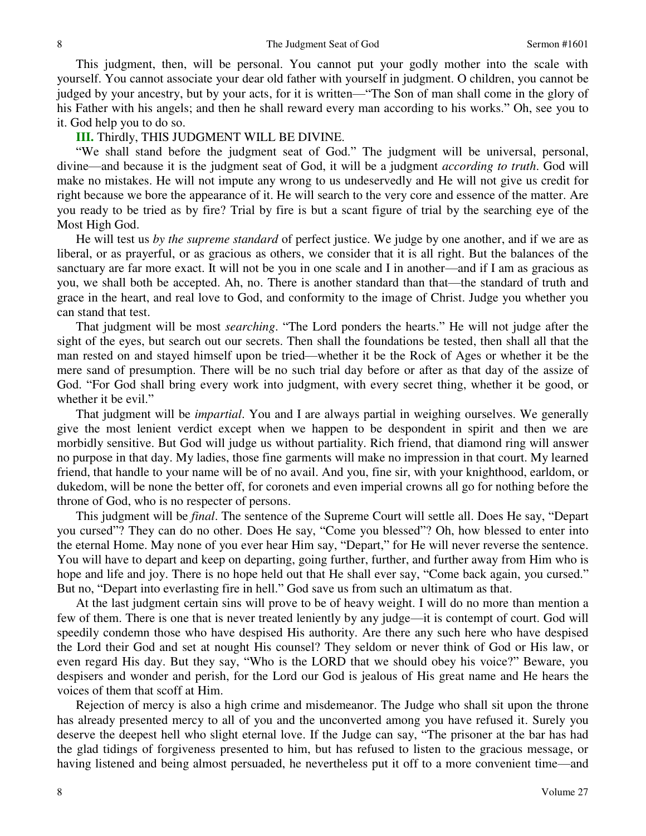This judgment, then, will be personal. You cannot put your godly mother into the scale with yourself. You cannot associate your dear old father with yourself in judgment. O children, you cannot be judged by your ancestry, but by your acts, for it is written—"The Son of man shall come in the glory of his Father with his angels; and then he shall reward every man according to his works." Oh, see you to it. God help you to do so.

#### **III.** Thirdly, THIS JUDGMENT WILL BE DIVINE.

"We shall stand before the judgment seat of God." The judgment will be universal, personal, divine—and because it is the judgment seat of God, it will be a judgment *according to truth*. God will make no mistakes. He will not impute any wrong to us undeservedly and He will not give us credit for right because we bore the appearance of it. He will search to the very core and essence of the matter. Are you ready to be tried as by fire? Trial by fire is but a scant figure of trial by the searching eye of the Most High God.

 He will test us *by the supreme standard* of perfect justice. We judge by one another, and if we are as liberal, or as prayerful, or as gracious as others, we consider that it is all right. But the balances of the sanctuary are far more exact. It will not be you in one scale and I in another—and if I am as gracious as you, we shall both be accepted. Ah, no. There is another standard than that—the standard of truth and grace in the heart, and real love to God, and conformity to the image of Christ. Judge you whether you can stand that test.

 That judgment will be most *searching*. "The Lord ponders the hearts." He will not judge after the sight of the eyes, but search out our secrets. Then shall the foundations be tested, then shall all that the man rested on and stayed himself upon be tried—whether it be the Rock of Ages or whether it be the mere sand of presumption. There will be no such trial day before or after as that day of the assize of God. "For God shall bring every work into judgment, with every secret thing, whether it be good, or whether it be evil."

 That judgment will be *impartial*. You and I are always partial in weighing ourselves. We generally give the most lenient verdict except when we happen to be despondent in spirit and then we are morbidly sensitive. But God will judge us without partiality. Rich friend, that diamond ring will answer no purpose in that day. My ladies, those fine garments will make no impression in that court. My learned friend, that handle to your name will be of no avail. And you, fine sir, with your knighthood, earldom, or dukedom, will be none the better off, for coronets and even imperial crowns all go for nothing before the throne of God, who is no respecter of persons.

 This judgment will be *final*. The sentence of the Supreme Court will settle all. Does He say, "Depart you cursed"? They can do no other. Does He say, "Come you blessed"? Oh, how blessed to enter into the eternal Home. May none of you ever hear Him say, "Depart," for He will never reverse the sentence. You will have to depart and keep on departing, going further, further, and further away from Him who is hope and life and joy. There is no hope held out that He shall ever say, "Come back again, you cursed." But no, "Depart into everlasting fire in hell." God save us from such an ultimatum as that.

 At the last judgment certain sins will prove to be of heavy weight. I will do no more than mention a few of them. There is one that is never treated leniently by any judge—it is contempt of court. God will speedily condemn those who have despised His authority. Are there any such here who have despised the Lord their God and set at nought His counsel? They seldom or never think of God or His law, or even regard His day. But they say, "Who is the LORD that we should obey his voice?" Beware, you despisers and wonder and perish, for the Lord our God is jealous of His great name and He hears the voices of them that scoff at Him.

 Rejection of mercy is also a high crime and misdemeanor. The Judge who shall sit upon the throne has already presented mercy to all of you and the unconverted among you have refused it. Surely you deserve the deepest hell who slight eternal love. If the Judge can say, "The prisoner at the bar has had the glad tidings of forgiveness presented to him, but has refused to listen to the gracious message, or having listened and being almost persuaded, he nevertheless put it off to a more convenient time—and